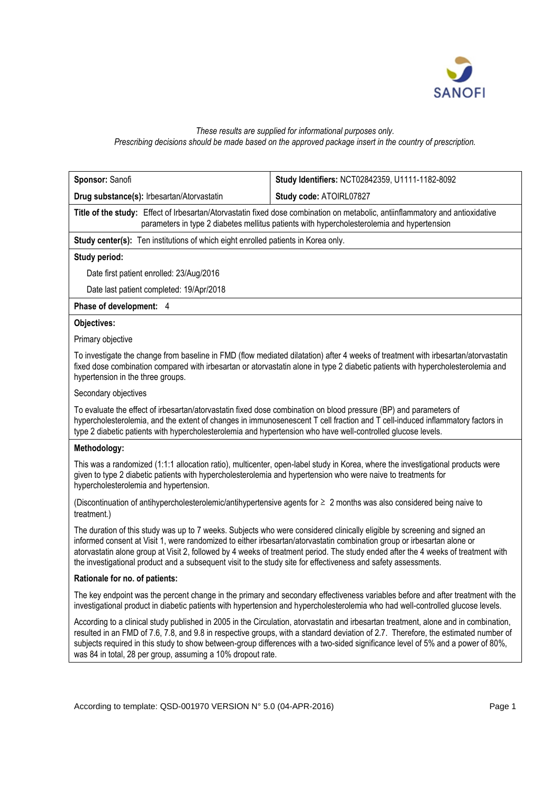

### *These results are supplied for informational purposes only. Prescribing decisions should be made based on the approved package insert in the country of prescription.*

| Sponsor: Sanofi                                                                                                                                                                                                                                                                                                                                                                                                                                                                                             | Study Identifiers: NCT02842359, U1111-1182-8092 |  |  |
|-------------------------------------------------------------------------------------------------------------------------------------------------------------------------------------------------------------------------------------------------------------------------------------------------------------------------------------------------------------------------------------------------------------------------------------------------------------------------------------------------------------|-------------------------------------------------|--|--|
| Drug substance(s): Irbesartan/Atorvastatin                                                                                                                                                                                                                                                                                                                                                                                                                                                                  | Study code: ATOIRL07827                         |  |  |
| Title of the study: Effect of Irbesartan/Atorvastatin fixed dose combination on metabolic, antiinflammatory and antioxidative<br>parameters in type 2 diabetes mellitus patients with hypercholesterolemia and hypertension                                                                                                                                                                                                                                                                                 |                                                 |  |  |
| Study center(s): Ten institutions of which eight enrolled patients in Korea only.                                                                                                                                                                                                                                                                                                                                                                                                                           |                                                 |  |  |
| Study period:                                                                                                                                                                                                                                                                                                                                                                                                                                                                                               |                                                 |  |  |
| Date first patient enrolled: 23/Aug/2016                                                                                                                                                                                                                                                                                                                                                                                                                                                                    |                                                 |  |  |
| Date last patient completed: 19/Apr/2018                                                                                                                                                                                                                                                                                                                                                                                                                                                                    |                                                 |  |  |
| Phase of development: 4                                                                                                                                                                                                                                                                                                                                                                                                                                                                                     |                                                 |  |  |
| Objectives:                                                                                                                                                                                                                                                                                                                                                                                                                                                                                                 |                                                 |  |  |
| Primary objective                                                                                                                                                                                                                                                                                                                                                                                                                                                                                           |                                                 |  |  |
| To investigate the change from baseline in FMD (flow mediated dilatation) after 4 weeks of treatment with irbesartan/atorvastatin<br>fixed dose combination compared with irbesartan or atorvastatin alone in type 2 diabetic patients with hypercholesterolemia and<br>hypertension in the three groups.                                                                                                                                                                                                   |                                                 |  |  |
| Secondary objectives                                                                                                                                                                                                                                                                                                                                                                                                                                                                                        |                                                 |  |  |
| To evaluate the effect of irbesartan/atorvastatin fixed dose combination on blood pressure (BP) and parameters of<br>hypercholesterolemia, and the extent of changes in immunosenescent T cell fraction and T cell-induced inflammatory factors in<br>type 2 diabetic patients with hypercholesterolemia and hypertension who have well-controlled glucose levels.                                                                                                                                          |                                                 |  |  |
| Methodology:                                                                                                                                                                                                                                                                                                                                                                                                                                                                                                |                                                 |  |  |
| This was a randomized (1:1:1 allocation ratio), multicenter, open-label study in Korea, where the investigational products were<br>given to type 2 diabetic patients with hypercholesterolemia and hypertension who were naive to treatments for<br>hypercholesterolemia and hypertension.                                                                                                                                                                                                                  |                                                 |  |  |
| (Discontinuation of antihypercholesterolemic/antihypertensive agents for ≥ 2 months was also considered being naive to<br>treatment.)                                                                                                                                                                                                                                                                                                                                                                       |                                                 |  |  |
| The duration of this study was up to 7 weeks. Subjects who were considered clinically eligible by screening and signed an<br>informed consent at Visit 1, were randomized to either irbesartan/atorvastatin combination group or irbesartan alone or<br>atorvastatin alone group at Visit 2, followed by 4 weeks of treatment period. The study ended after the 4 weeks of treatment with<br>the investigational product and a subsequent visit to the study site for effectiveness and safety assessments. |                                                 |  |  |
| Rationale for no. of patients:                                                                                                                                                                                                                                                                                                                                                                                                                                                                              |                                                 |  |  |
| The key endpoint was the percent change in the primary and secondary effectiveness variables before and after treatment with the<br>investigational product in diabetic patients with hypertension and hypercholesterolemia who had well-controlled glucose levels.                                                                                                                                                                                                                                         |                                                 |  |  |
| According to a clinical study published in 2005 in the Circulation, atorvastatin and irbesartan treatment, alone and in combination,<br>resulted in an FMD of 7.6, 7.8, and 9.8 in respective groups, with a standard deviation of 2.7. Therefore, the estimated number of<br>subjects required in this study to show between-group differences with a two-sided significance level of 5% and a power of 80%,<br>was 84 in total, 28 per group, assuming a 10% dropout rate.                                |                                                 |  |  |
|                                                                                                                                                                                                                                                                                                                                                                                                                                                                                                             |                                                 |  |  |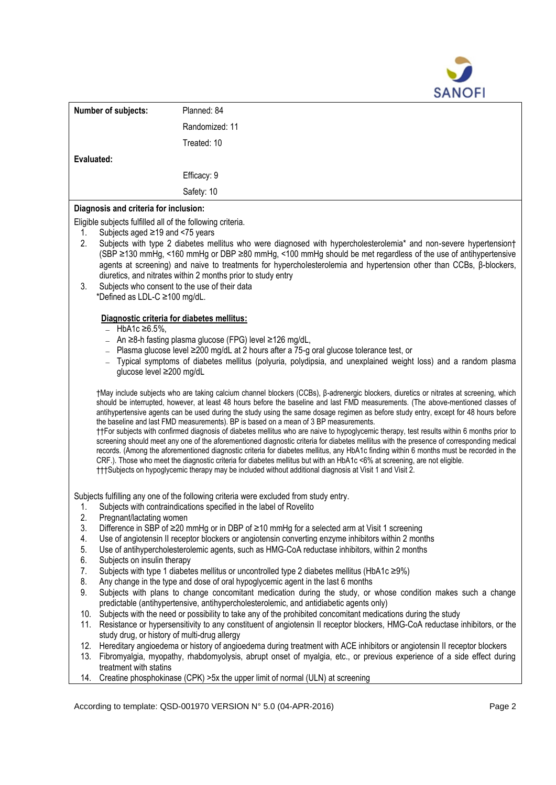

|                                                                                                     | Number of subjects:                                                                                                                                                                                                                                                                                                                                                                                                                                                                                        | Planned: 84                                                                                                                                                                                                                                                                                                                                                                                                                                                                                                                                                                                                                                                               |  |
|-----------------------------------------------------------------------------------------------------|------------------------------------------------------------------------------------------------------------------------------------------------------------------------------------------------------------------------------------------------------------------------------------------------------------------------------------------------------------------------------------------------------------------------------------------------------------------------------------------------------------|---------------------------------------------------------------------------------------------------------------------------------------------------------------------------------------------------------------------------------------------------------------------------------------------------------------------------------------------------------------------------------------------------------------------------------------------------------------------------------------------------------------------------------------------------------------------------------------------------------------------------------------------------------------------------|--|
|                                                                                                     |                                                                                                                                                                                                                                                                                                                                                                                                                                                                                                            | Randomized: 11                                                                                                                                                                                                                                                                                                                                                                                                                                                                                                                                                                                                                                                            |  |
|                                                                                                     |                                                                                                                                                                                                                                                                                                                                                                                                                                                                                                            | Treated: 10                                                                                                                                                                                                                                                                                                                                                                                                                                                                                                                                                                                                                                                               |  |
| Evaluated:                                                                                          |                                                                                                                                                                                                                                                                                                                                                                                                                                                                                                            |                                                                                                                                                                                                                                                                                                                                                                                                                                                                                                                                                                                                                                                                           |  |
|                                                                                                     |                                                                                                                                                                                                                                                                                                                                                                                                                                                                                                            | Efficacy: 9                                                                                                                                                                                                                                                                                                                                                                                                                                                                                                                                                                                                                                                               |  |
|                                                                                                     |                                                                                                                                                                                                                                                                                                                                                                                                                                                                                                            | Safety: 10                                                                                                                                                                                                                                                                                                                                                                                                                                                                                                                                                                                                                                                                |  |
|                                                                                                     |                                                                                                                                                                                                                                                                                                                                                                                                                                                                                                            |                                                                                                                                                                                                                                                                                                                                                                                                                                                                                                                                                                                                                                                                           |  |
| Diagnosis and criteria for inclusion:<br>Eligible subjects fulfilled all of the following criteria. |                                                                                                                                                                                                                                                                                                                                                                                                                                                                                                            |                                                                                                                                                                                                                                                                                                                                                                                                                                                                                                                                                                                                                                                                           |  |
| 1.                                                                                                  | Subjects aged ≥19 and <75 years                                                                                                                                                                                                                                                                                                                                                                                                                                                                            |                                                                                                                                                                                                                                                                                                                                                                                                                                                                                                                                                                                                                                                                           |  |
| 2.<br>3.                                                                                            | Subjects with type 2 diabetes mellitus who were diagnosed with hypercholesterolemia* and non-severe hypertension†<br>(SBP ≥130 mmHg, <160 mmHg or DBP ≥80 mmHg, <100 mmHg should be met regardless of the use of antihypertensive<br>agents at screening) and naive to treatments for hypercholesterolemia and hypertension other than CCBs, β-blockers,<br>diuretics, and nitrates within 2 months prior to study entry<br>Subjects who consent to the use of their data<br>*Defined as LDL-C ≥100 mg/dL. |                                                                                                                                                                                                                                                                                                                                                                                                                                                                                                                                                                                                                                                                           |  |
|                                                                                                     |                                                                                                                                                                                                                                                                                                                                                                                                                                                                                                            |                                                                                                                                                                                                                                                                                                                                                                                                                                                                                                                                                                                                                                                                           |  |
|                                                                                                     | $-$ HbA1c ≥6.5%,                                                                                                                                                                                                                                                                                                                                                                                                                                                                                           | Diagnostic criteria for diabetes mellitus:                                                                                                                                                                                                                                                                                                                                                                                                                                                                                                                                                                                                                                |  |
|                                                                                                     |                                                                                                                                                                                                                                                                                                                                                                                                                                                                                                            | $-$ An ≥8-h fasting plasma glucose (FPG) level ≥126 mg/dL,                                                                                                                                                                                                                                                                                                                                                                                                                                                                                                                                                                                                                |  |
|                                                                                                     |                                                                                                                                                                                                                                                                                                                                                                                                                                                                                                            | Plasma glucose level ≥200 mg/dL at 2 hours after a 75-g oral glucose tolerance test, or                                                                                                                                                                                                                                                                                                                                                                                                                                                                                                                                                                                   |  |
|                                                                                                     |                                                                                                                                                                                                                                                                                                                                                                                                                                                                                                            | Typical symptoms of diabetes mellitus (polyuria, polydipsia, and unexplained weight loss) and a random plasma                                                                                                                                                                                                                                                                                                                                                                                                                                                                                                                                                             |  |
|                                                                                                     | glucose level ≥200 mg/dL                                                                                                                                                                                                                                                                                                                                                                                                                                                                                   |                                                                                                                                                                                                                                                                                                                                                                                                                                                                                                                                                                                                                                                                           |  |
|                                                                                                     |                                                                                                                                                                                                                                                                                                                                                                                                                                                                                                            | †May include subjects who are taking calcium channel blockers (CCBs), β-adrenergic blockers, diuretics or nitrates at screening, which<br>should be interrupted, however, at least 48 hours before the baseline and last FMD measurements. (The above-mentioned classes of<br>antihypertensive agents can be used during the study using the same dosage regimen as before study entry, except for 48 hours before<br>the baseline and last FMD measurements). BP is based on a mean of 3 BP measurements.                                                                                                                                                                |  |
|                                                                                                     |                                                                                                                                                                                                                                                                                                                                                                                                                                                                                                            | ††For subjects with confirmed diagnosis of diabetes mellitus who are naive to hypoglycemic therapy, test results within 6 months prior to<br>screening should meet any one of the aforementioned diagnostic criteria for diabetes mellitus with the presence of corresponding medical<br>records. (Among the aforementioned diagnostic criteria for diabetes mellitus, any HbA1c finding within 6 months must be recorded in the<br>CRF.). Those who meet the diagnostic criteria for diabetes mellitus but with an HbA1c <6% at screening, are not eligible.<br>†††Subjects on hypoglycemic therapy may be included without additional diagnosis at Visit 1 and Visit 2. |  |
|                                                                                                     |                                                                                                                                                                                                                                                                                                                                                                                                                                                                                                            |                                                                                                                                                                                                                                                                                                                                                                                                                                                                                                                                                                                                                                                                           |  |
|                                                                                                     |                                                                                                                                                                                                                                                                                                                                                                                                                                                                                                            | Subjects fulfilling any one of the following criteria were excluded from study entry.                                                                                                                                                                                                                                                                                                                                                                                                                                                                                                                                                                                     |  |
| 1.<br>2.                                                                                            | Pregnant/lactating women                                                                                                                                                                                                                                                                                                                                                                                                                                                                                   | Subjects with contraindications specified in the label of Rovelito                                                                                                                                                                                                                                                                                                                                                                                                                                                                                                                                                                                                        |  |
| 3.                                                                                                  |                                                                                                                                                                                                                                                                                                                                                                                                                                                                                                            | Difference in SBP of ≥20 mmHg or in DBP of ≥10 mmHg for a selected arm at Visit 1 screening                                                                                                                                                                                                                                                                                                                                                                                                                                                                                                                                                                               |  |
| 4.                                                                                                  |                                                                                                                                                                                                                                                                                                                                                                                                                                                                                                            | Use of angiotensin II receptor blockers or angiotensin converting enzyme inhibitors within 2 months                                                                                                                                                                                                                                                                                                                                                                                                                                                                                                                                                                       |  |
| 5.                                                                                                  |                                                                                                                                                                                                                                                                                                                                                                                                                                                                                                            | Use of antihypercholesterolemic agents, such as HMG-CoA reductase inhibitors, within 2 months                                                                                                                                                                                                                                                                                                                                                                                                                                                                                                                                                                             |  |
| 6.<br>7.                                                                                            | Subjects on insulin therapy                                                                                                                                                                                                                                                                                                                                                                                                                                                                                | Subjects with type 1 diabetes mellitus or uncontrolled type 2 diabetes mellitus (HbA1c ≥9%)                                                                                                                                                                                                                                                                                                                                                                                                                                                                                                                                                                               |  |
| 8.                                                                                                  |                                                                                                                                                                                                                                                                                                                                                                                                                                                                                                            | Any change in the type and dose of oral hypoglycemic agent in the last 6 months                                                                                                                                                                                                                                                                                                                                                                                                                                                                                                                                                                                           |  |
| 9.                                                                                                  |                                                                                                                                                                                                                                                                                                                                                                                                                                                                                                            | Subjects with plans to change concomitant medication during the study, or whose condition makes such a change                                                                                                                                                                                                                                                                                                                                                                                                                                                                                                                                                             |  |
|                                                                                                     |                                                                                                                                                                                                                                                                                                                                                                                                                                                                                                            | predictable (antihypertensive, antihypercholesterolemic, and antidiabetic agents only)                                                                                                                                                                                                                                                                                                                                                                                                                                                                                                                                                                                    |  |
| 10.                                                                                                 |                                                                                                                                                                                                                                                                                                                                                                                                                                                                                                            | Subjects with the need or possibility to take any of the prohibited concomitant medications during the study                                                                                                                                                                                                                                                                                                                                                                                                                                                                                                                                                              |  |

- 11. Resistance or hypersensitivity to any constituent of angiotensin II receptor blockers, HMG-CoA reductase inhibitors, or the study drug, or history of multi-drug allergy
- 12. Hereditary angioedema or history of angioedema during treatment with ACE inhibitors or angiotensin II receptor blockers
- 13. Fibromyalgia, myopathy, rhabdomyolysis, abrupt onset of myalgia, etc., or previous experience of a side effect during treatment with statins
- 14. Creatine phosphokinase (CPK) >5x the upper limit of normal (ULN) at screening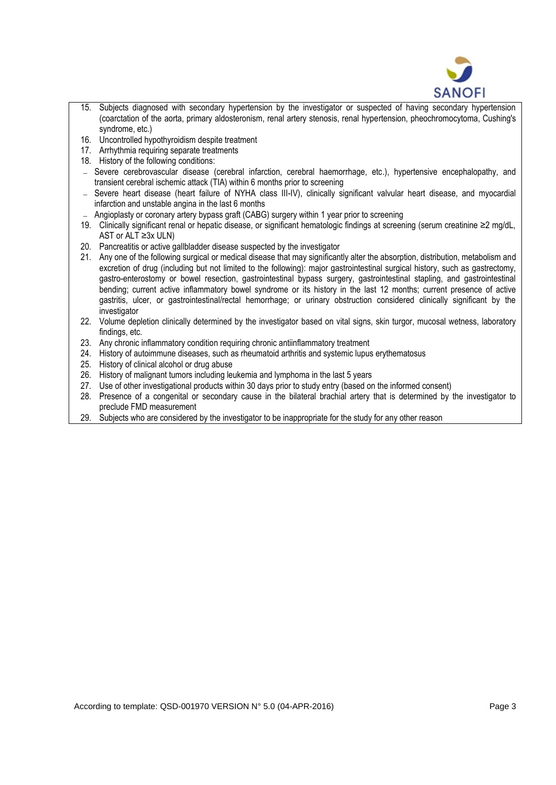

- 15. Subjects diagnosed with secondary hypertension by the investigator or suspected of having secondary hypertension (coarctation of the aorta, primary aldosteronism, renal artery stenosis, renal hypertension, pheochromocytoma, Cushing's syndrome, etc.)
- 16. Uncontrolled hypothyroidism despite treatment
- 17. Arrhythmia requiring separate treatments
- 18. History of the following conditions:
- Severe cerebrovascular disease (cerebral infarction, cerebral haemorrhage, etc.), hypertensive encephalopathy, and transient cerebral ischemic attack (TIA) within 6 months prior to screening
- Severe heart disease (heart failure of NYHA class III-IV), clinically significant valvular heart disease, and myocardial infarction and unstable angina in the last 6 months
- Angioplasty or coronary artery bypass graft (CABG) surgery within 1 year prior to screening
- 19. Clinically significant renal or hepatic disease, or significant hematologic findings at screening (serum creatinine ≥2 mg/dL, AST or ALT ≥3x ULN)
- 20. Pancreatitis or active gallbladder disease suspected by the investigator
- 21. Any one of the following surgical or medical disease that may significantly alter the absorption, distribution, metabolism and excretion of drug (including but not limited to the following): major gastrointestinal surgical history, such as gastrectomy, gastro-enterostomy or bowel resection, gastrointestinal bypass surgery, gastrointestinal stapling, and gastrointestinal bending; current active inflammatory bowel syndrome or its history in the last 12 months; current presence of active gastritis, ulcer, or gastrointestinal/rectal hemorrhage; or urinary obstruction considered clinically significant by the investigator
- 22. Volume depletion clinically determined by the investigator based on vital signs, skin turgor, mucosal wetness, laboratory findings, etc.
- 23. Any chronic inflammatory condition requiring chronic antiinflammatory treatment
- 24. History of autoimmune diseases, such as rheumatoid arthritis and systemic lupus erythematosus
- 25. History of clinical alcohol or drug abuse
- 26. History of malignant tumors including leukemia and lymphoma in the last 5 years
- 27. Use of other investigational products within 30 days prior to study entry (based on the informed consent)
- 28. Presence of a congenital or secondary cause in the bilateral brachial artery that is determined by the investigator to preclude FMD measurement
- 29. Subjects who are considered by the investigator to be inappropriate for the study for any other reason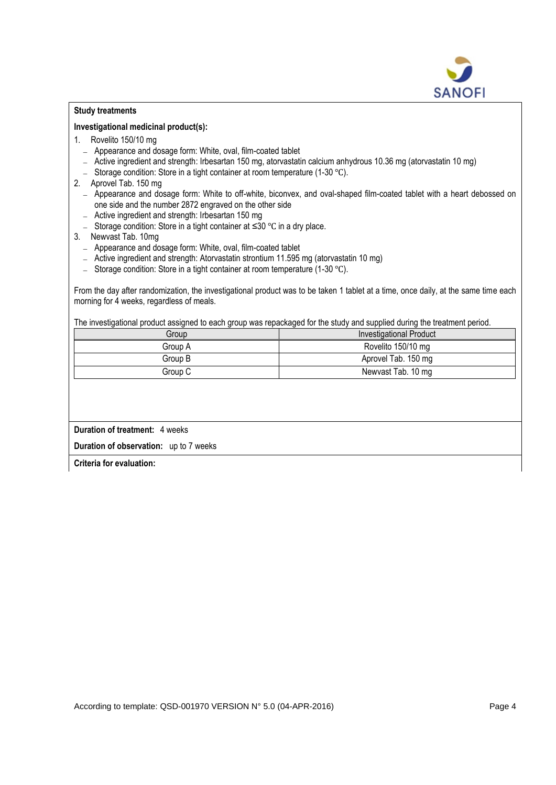

### **Study treatments**

#### **Investigational medicinal product(s):**

- 1. Rovelito 150/10 mg
	- Appearance and dosage form: White, oval, film-coated tablet
	- Active ingredient and strength: Irbesartan 150 mg, atorvastatin calcium anhydrous 10.36 mg (atorvastatin 10 mg)
	- Storage condition: Store in a tight container at room temperature (1-30 °C).
- 2. Aprovel Tab. 150 mg
	- Appearance and dosage form: White to off-white, biconvex, and oval-shaped film-coated tablet with a heart debossed on one side and the number 2872 engraved on the other side
	- Active ingredient and strength: Irbesartan 150 mg
	- Storage condition: Store in a tight container at ≤30 ℃ in a dry place.
- 3. Newvast Tab. 10mg
	- Appearance and dosage form: White, oval, film-coated tablet
	- Active ingredient and strength: Atorvastatin strontium 11.595 mg (atorvastatin 10 mg)
	- Storage condition: Store in a tight container at room temperature (1-30 ℃).

From the day after randomization, the investigational product was to be taken 1 tablet at a time, once daily, at the same time each morning for 4 weeks, regardless of meals.

The investigational product assigned to each group was repackaged for the study and supplied during the treatment period.

| Group   | Investigational Product |
|---------|-------------------------|
| Group A | Rovelito 150/10 mg      |
| Group B | Aprovel Tab. 150 mg     |
| Group C | Newvast Tab. 10 mg      |

**Duration of treatment:** 4 weeks

**Duration of observation:** up to 7 weeks

**Criteria for evaluation:**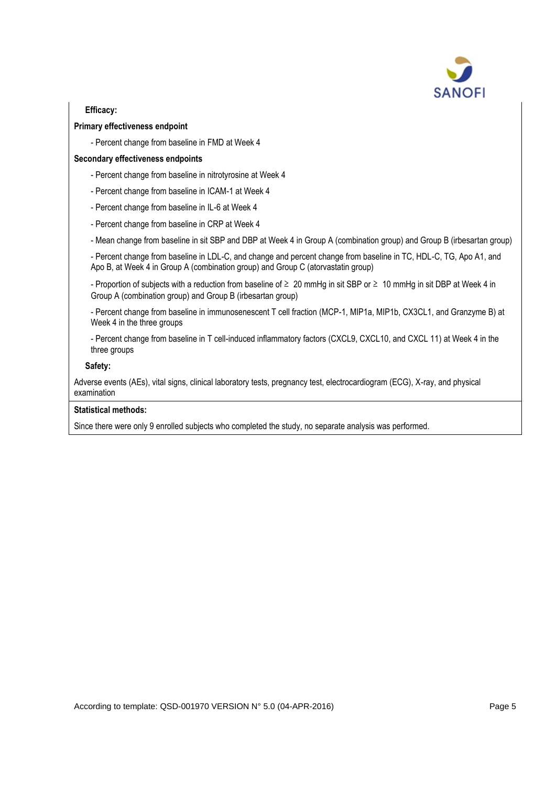

# **Efficacy:**

# **Primary effectiveness endpoint**

- Percent change from baseline in FMD at Week 4

## **Secondary effectiveness endpoints**

- Percent change from baseline in nitrotyrosine at Week 4
- Percent change from baseline in ICAM-1 at Week 4
- Percent change from baseline in IL-6 at Week 4
- Percent change from baseline in CRP at Week 4
- Mean change from baseline in sit SBP and DBP at Week 4 in Group A (combination group) and Group B (irbesartan group)

- Percent change from baseline in LDL-C, and change and percent change from baseline in TC, HDL-C, TG, Apo A1, and Apo B, at Week 4 in Group A (combination group) and Group C (atorvastatin group)

- Proportion of subjects with a reduction from baseline of ≥ 20 mmHg in sit SBP or ≥ 10 mmHg in sit DBP at Week 4 in Group A (combination group) and Group B (irbesartan group)

- Percent change from baseline in immunosenescent T cell fraction (MCP-1, MIP1a, MIP1b, CX3CL1, and Granzyme B) at Week 4 in the three groups

- Percent change from baseline in T cell-induced inflammatory factors (CXCL9, CXCL10, and CXCL 11) at Week 4 in the three groups

### **Safety:**

Adverse events (AEs), vital signs, clinical laboratory tests, pregnancy test, electrocardiogram (ECG), X-ray, and physical examination

### **Statistical methods:**

Since there were only 9 enrolled subjects who completed the study, no separate analysis was performed.